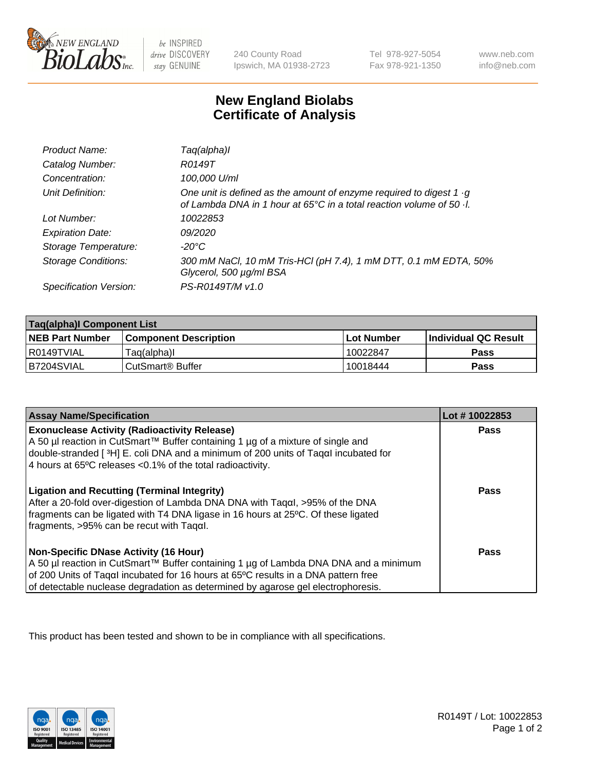

 $be$  INSPIRED drive DISCOVERY stay GENUINE

240 County Road Ipswich, MA 01938-2723 Tel 978-927-5054 Fax 978-921-1350 www.neb.com info@neb.com

## **New England Biolabs Certificate of Analysis**

| Product Name:              | Taq(alpha)I                                                                                                                                                        |
|----------------------------|--------------------------------------------------------------------------------------------------------------------------------------------------------------------|
| Catalog Number:            | R0149T                                                                                                                                                             |
| Concentration:             | 100,000 U/ml                                                                                                                                                       |
| Unit Definition:           | One unit is defined as the amount of enzyme required to digest 1 $\cdot$ g<br>of Lambda DNA in 1 hour at $65^{\circ}$ C in a total reaction volume of 50 $\cdot$ . |
| Lot Number:                | 10022853                                                                                                                                                           |
| <b>Expiration Date:</b>    | <i>09/2020</i>                                                                                                                                                     |
| Storage Temperature:       | -20°C                                                                                                                                                              |
| <b>Storage Conditions:</b> | 300 mM NaCl, 10 mM Tris-HCl (pH 7.4), 1 mM DTT, 0.1 mM EDTA, 50%<br>Glycerol, 500 µg/ml BSA                                                                        |
| Specification Version:     | PS-R0149T/M v1.0                                                                                                                                                   |

| Taq(alpha)I Component List |                              |            |                             |  |
|----------------------------|------------------------------|------------|-----------------------------|--|
| <b>NEB Part Number</b>     | <b>Component Description</b> | Lot Number | <b>Individual QC Result</b> |  |
| l R0149TVIAL               | Taq(alpha)I                  | 10022847   | Pass                        |  |
| B7204SVIAL                 | ⊦CutSmart® Buffer            | 10018444'  | Pass                        |  |

| <b>Assay Name/Specification</b>                                                                                                                                                                                                                                                                                | Lot #10022853 |
|----------------------------------------------------------------------------------------------------------------------------------------------------------------------------------------------------------------------------------------------------------------------------------------------------------------|---------------|
| <b>Exonuclease Activity (Radioactivity Release)</b><br>A 50 µl reaction in CutSmart™ Buffer containing 1 µg of a mixture of single and                                                                                                                                                                         | Pass          |
| double-stranded [3H] E. coli DNA and a minimum of 200 units of Tagal incubated for<br>4 hours at 65°C releases < 0.1% of the total radioactivity.                                                                                                                                                              |               |
|                                                                                                                                                                                                                                                                                                                |               |
| <b>Ligation and Recutting (Terminal Integrity)</b><br>After a 20-fold over-digestion of Lambda DNA DNA with Tagal, >95% of the DNA<br>fragments can be ligated with T4 DNA ligase in 16 hours at 25°C. Of these ligated<br>$\frac{1}{2}$ fragments, >95% can be recut with Tagal.                              | Pass          |
| <b>Non-Specific DNase Activity (16 Hour)</b><br>A 50 µl reaction in CutSmart™ Buffer containing 1 µg of Lambda DNA DNA and a minimum<br>of 200 Units of Taqal incubated for 16 hours at 65°C results in a DNA pattern free<br>of detectable nuclease degradation as determined by agarose gel electrophoresis. | Pass          |

This product has been tested and shown to be in compliance with all specifications.